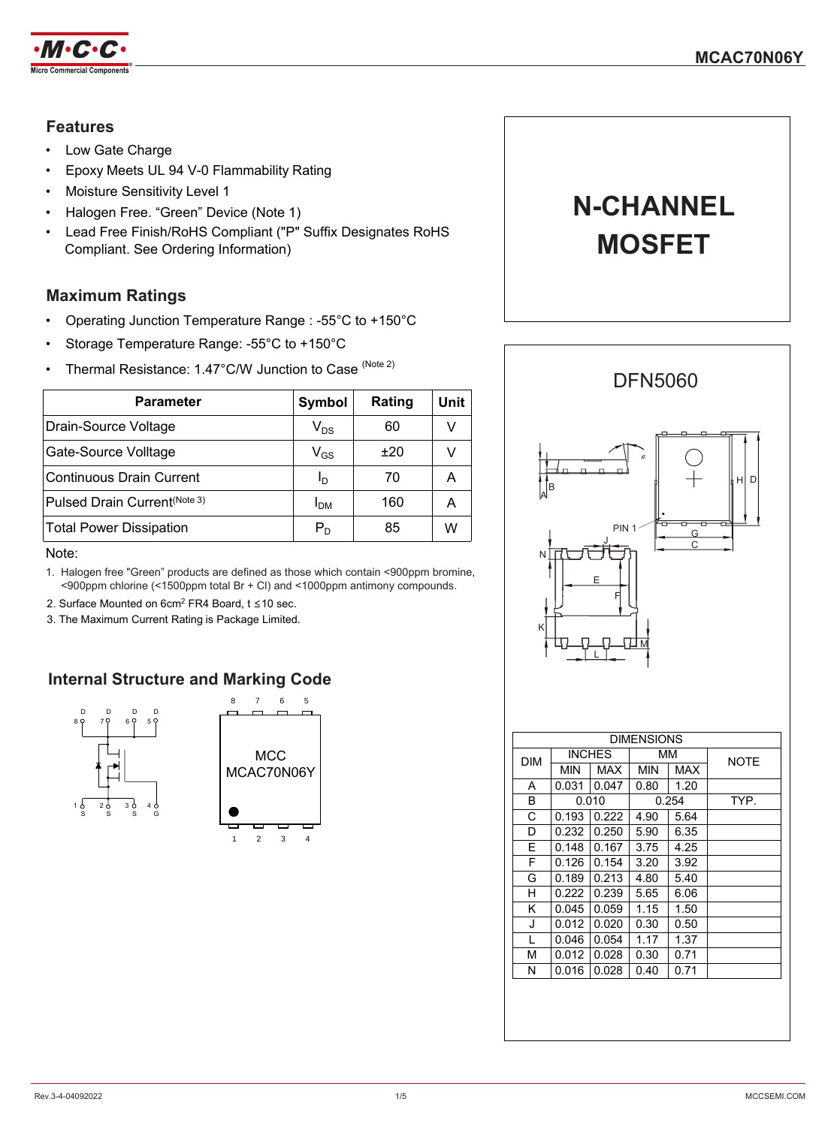

## **Features**

- Low Gate Charge
- Epoxy Meets UL 94 V-0 Flammability Rating
- Moisture Sensitivity Level 1
- Halogen Free. "Green" Device (Note 1)
- Lead Free Finish/RoHS Compliant ("P" Suffix Designates RoHS Compliant. See Ordering Information)

### **Maximum Ratings**

- Operating Junction Temperature Range : -55°C to +150°C
- Storage Temperature Range: -55°C to +150°C
- Thermal Resistance: 1.47°C/W Junction to Case (Note 2)

| <b>Parameter</b>                         | Symbol                     | Rating | Unit |
|------------------------------------------|----------------------------|--------|------|
| Drain-Source Voltage                     | $\mathsf{V}_{\mathsf{DS}}$ | 60     | v    |
| Gate-Source Volltage                     | $\mathsf{V}_{\mathsf{GS}}$ | ±20    |      |
| Continuous Drain Current                 | Ιŋ                         | 70     | A    |
| Pulsed Drain Current <sup>(Note 3)</sup> | I <sub>DM</sub>            | 160    | А    |
| <b>Total Power Dissipation</b>           | $P_D$                      | 85     | W    |

Note:

- 1. Halogen free "Green" products are defined as those which contain <900ppm bromine, <900ppm chlorine (<1500ppm total Br + Cl) and <1000ppm antimony compounds.
- 2. Surface Mounted on 6cm<sup>2</sup> FR4 Board, t ≤10 sec.
- 3. The Maximum Current Rating is Package Limited.

## **Internal Structure and Marking Code**





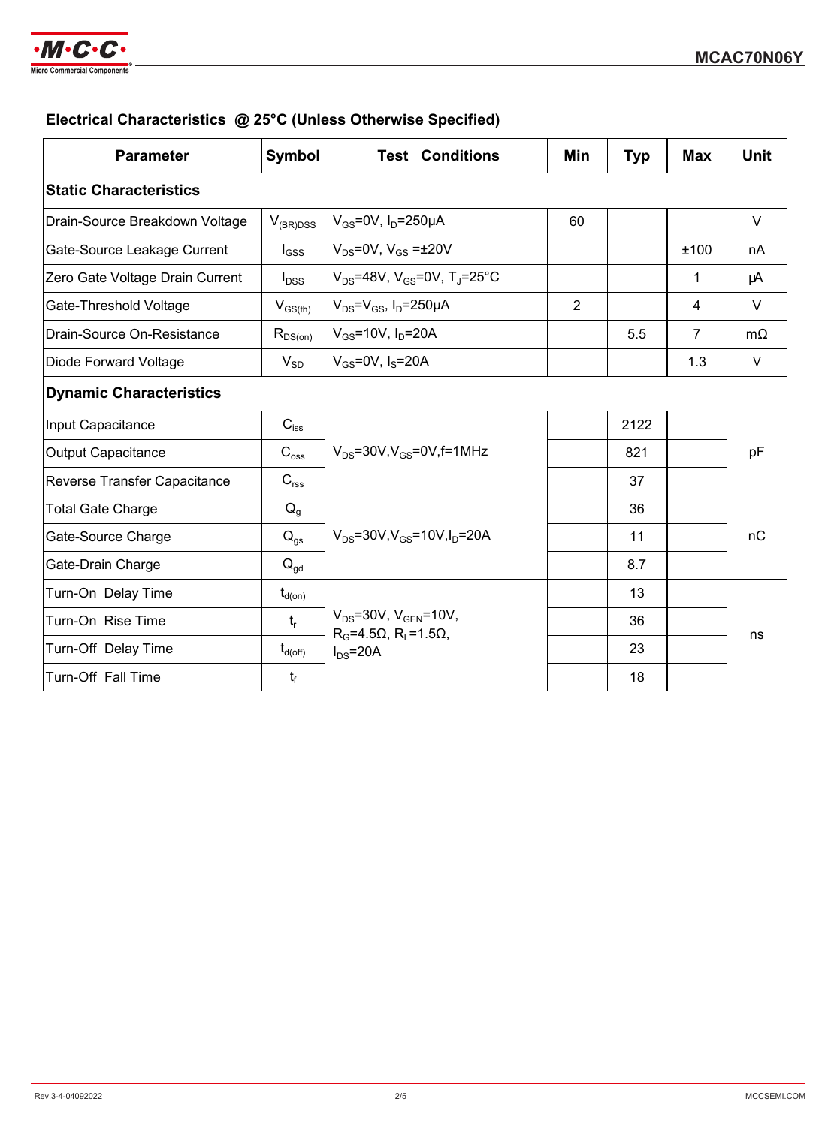

## **Electrical Characteristics @ 25°C (Unless Otherwise Specified)**

| <b>Parameter</b>                | Symbol              | <b>Test Conditions</b>                                                                          | Min            | <b>Typ</b> | <b>Max</b>     | <b>Unit</b> |  |
|---------------------------------|---------------------|-------------------------------------------------------------------------------------------------|----------------|------------|----------------|-------------|--|
| <b>Static Characteristics</b>   |                     |                                                                                                 |                |            |                |             |  |
| Drain-Source Breakdown Voltage  | $V_{(BR)DSS}$       | $V_{GS}$ =0V, I <sub>D</sub> =250µA                                                             | 60             |            |                | V           |  |
| Gate-Source Leakage Current     | $I_{GSS}$           | $V_{DS}$ =0V, $V_{GS}$ = $\pm$ 20V                                                              |                |            | ±100           | nA          |  |
| Zero Gate Voltage Drain Current | $I_{DSS}$           | $V_{DS} = 48V$ , $V_{GS} = 0V$ , T <sub>J</sub> =25°C                                           |                |            | 1              | μA          |  |
| Gate-Threshold Voltage          | $V_{GS(th)}$        | $V_{DS} = V_{GS}$ , $I_D = 250 \mu A$                                                           | $\overline{2}$ |            | 4              | $\vee$      |  |
| Drain-Source On-Resistance      | $R_{DS(on)}$        | $V_{GS} = 10V$ , $I_D = 20A$                                                                    |                | 5.5        | $\overline{7}$ | $m\Omega$   |  |
| Diode Forward Voltage           | $V_{SD}$            | $V_{GS}$ =0V, $I_S$ =20A                                                                        |                |            | 1.3            | $\vee$      |  |
| <b>Dynamic Characteristics</b>  |                     |                                                                                                 |                |            |                |             |  |
| Input Capacitance               | $C_{\text{iss}}$    | $V_{DS}$ =30V, $V_{GS}$ =0V, f=1MHz                                                             |                | 2122       |                | pF          |  |
| <b>Output Capacitance</b>       | $C_{\rm{oss}}$      |                                                                                                 |                | 821        |                |             |  |
| Reverse Transfer Capacitance    | $C_{\text{rss}}$    |                                                                                                 |                | 37         |                |             |  |
| <b>Total Gate Charge</b>        | $Q_g$               | $V_{DS} = 30V, V_{GS} = 10V, I_D = 20A$                                                         |                | 36         |                |             |  |
| Gate-Source Charge              | $Q_{qs}$            |                                                                                                 |                | 11         |                | nC          |  |
| Gate-Drain Charge               | $Q_{\text{qd}}$     |                                                                                                 |                | 8.7        |                |             |  |
| Turn-On Delay Time              | $t_{d(on)}$         | $V_{DS} = 30V$ , $V_{GEN} = 10V$ ,<br>$R_G = 4.5\Omega$ , $R_1 = 1.5\Omega$ ,<br>$I_{DS} = 20A$ |                | 13         |                |             |  |
| Turn-On Rise Time               | $t_{r}$             |                                                                                                 |                | 36         |                |             |  |
| Turn-Off Delay Time             | $t_{d(\text{off})}$ |                                                                                                 |                | 23         |                | ns          |  |
| Turn-Off Fall Time              | $t_f$               |                                                                                                 |                | 18         |                |             |  |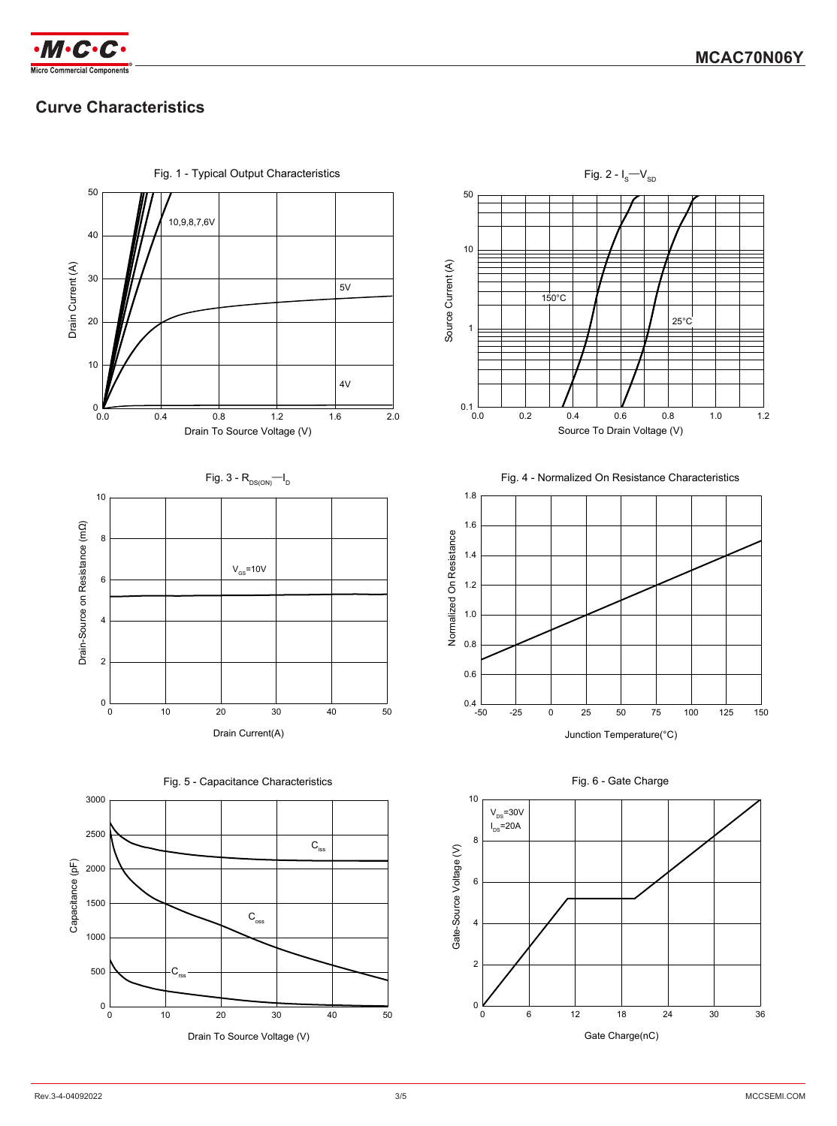

# **Curve Characteristics**

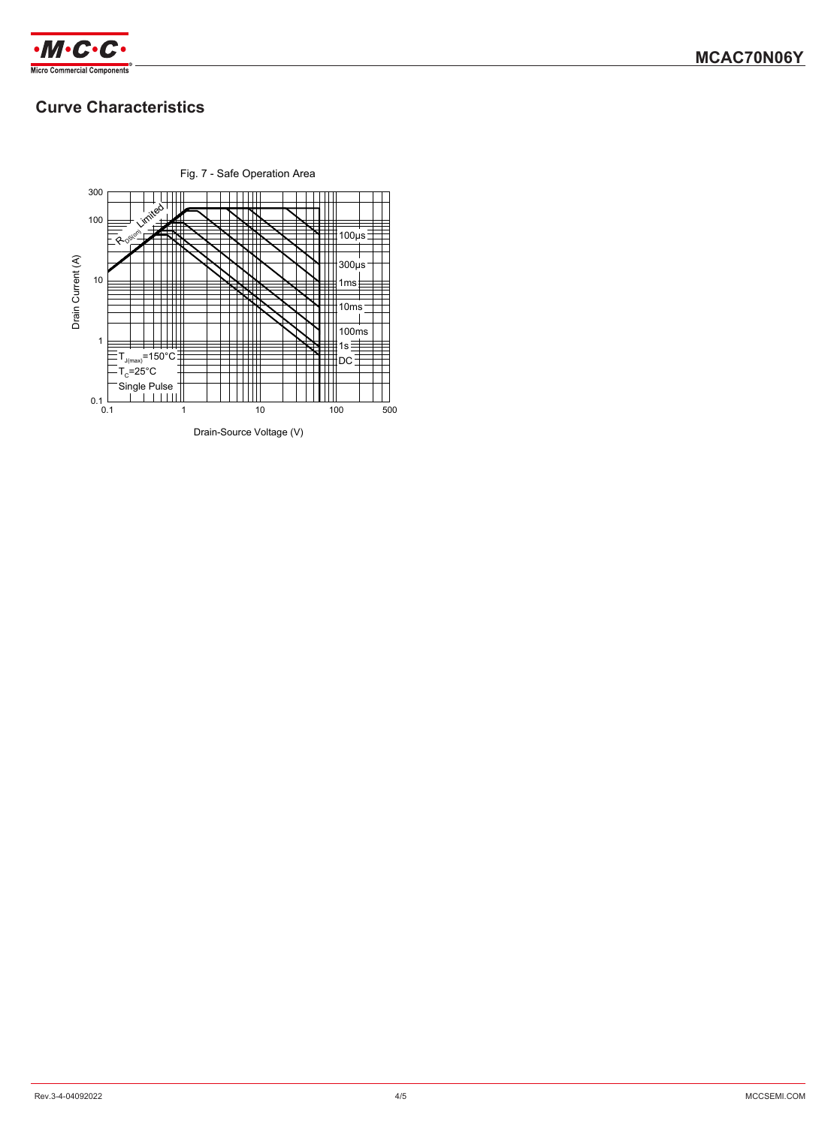

## **Curve Characteristics**